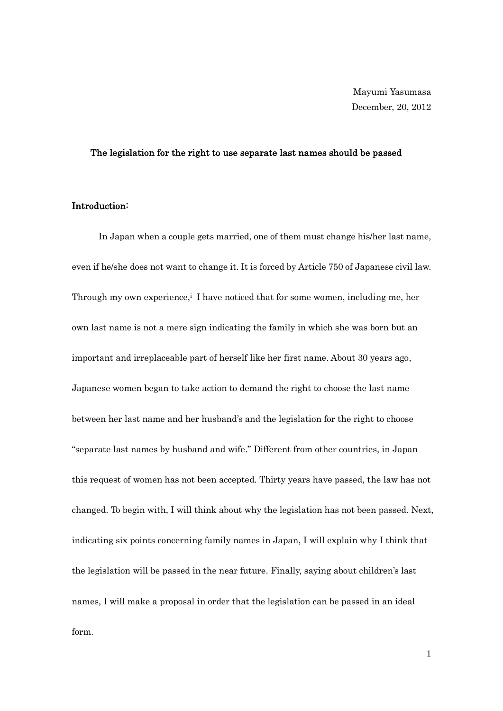# The legislation for the right to use separate last names should be passed

# Introduction:

In Japan when a couple gets married, one of them must change his/her last name, even if he/she does not want to change it. It is forced by Article 750 of Japanese civil law. Through my own experience,<sup>i</sup> I have noticed that for some women, including me, her own last name is not a mere sign indicating the family in which she was born but an important and irreplaceable part of herself like her first name. About 30 years ago, Japanese women began to take action to demand the right to choose the last name between her last name and her husband's and the legislation for the right to choose "separate last names by husband and wife." Different from other countries, in Japan this request of women has not been accepted. Thirty years have passed, the law has not changed. To begin with, I will think about why the legislation has not been passed. Next, indicating six points concerning family names in Japan, I will explain why I think that the legislation will be passed in the near future. Finally, saying about children's last names, I will make a proposal in order that the legislation can be passed in an ideal form.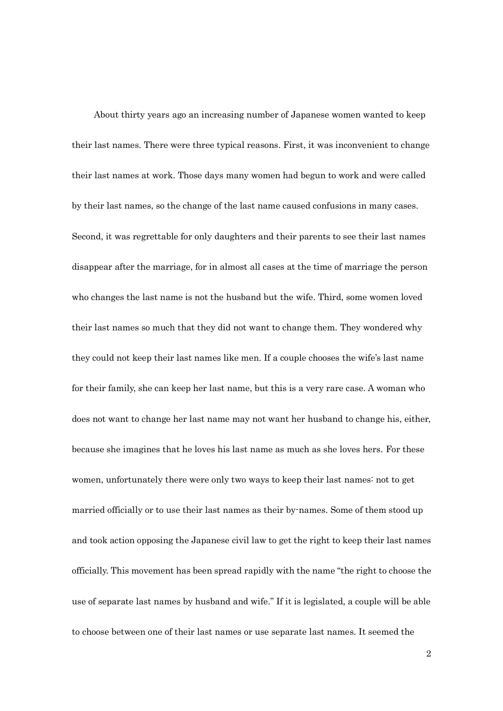About thirty years ago an increasing number of Japanese women wanted to keep their last names. There were three typical reasons. First, it was inconvenient to change their last names at work. Those days many women had begun to work and were called by their last names, so the change of the last name caused confusions in many cases. Second, it was regrettable for only daughters and their parents to see their last names disappear after the marriage, for in almost all cases at the time of marriage the person who changes the last name is not the husband but the wife. Third, some women loved their last names so much that they did not want to change them. They wondered why they could not keep their last names like men. If a couple chooses the wife's last name for their family, she can keep her last name, but this is a very rare case. A woman who does not want to change her last name may not want her husband to change his, either, because she imagines that he loves his last name as much as she loves hers. For these women, unfortunately there were only two ways to keep their last names: not to get married officially or to use their last names as their by-names. Some of them stood up and took action opposing the Japanese civil law to get the right to keep their last names officially. This movement has been spread rapidly with the name "the right to choose the use of separate last names by husband and wife." If it is legislated, a couple will be able to choose between one of their last names or use separate last names. It seemed the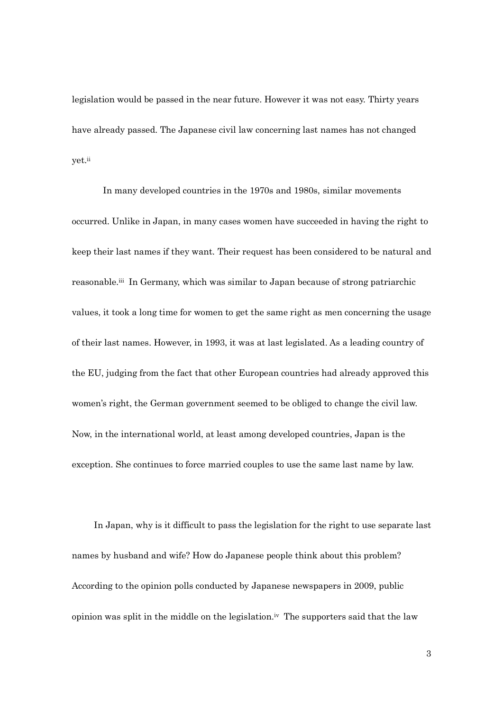legislation would be passed in the near future. However it was not easy. Thirty years have already passed. The Japanese civil law concerning last names has not changed yet.ii

 In many developed countries in the 1970s and 1980s, similar movements occurred. Unlike in Japan, in many cases women have succeeded in having the right to keep their last names if they want. Their request has been considered to be natural and reasonable.<sup>iii</sup> In Germany, which was similar to Japan because of strong patriarchic values, it took a long time for women to get the same right as men concerning the usage of their last names. However, in 1993, it was at last legislated. As a leading country of the EU, judging from the fact that other European countries had already approved this women's right, the German government seemed to be obliged to change the civil law. Now, in the international world, at least among developed countries, Japan is the exception. She continues to force married couples to use the same last name by law.

In Japan, why is it difficult to pass the legislation for the right to use separate last names by husband and wife? How do Japanese people think about this problem? According to the opinion polls conducted by Japanese newspapers in 2009, public opinion was split in the middle on the legislation.iv The supporters said that the law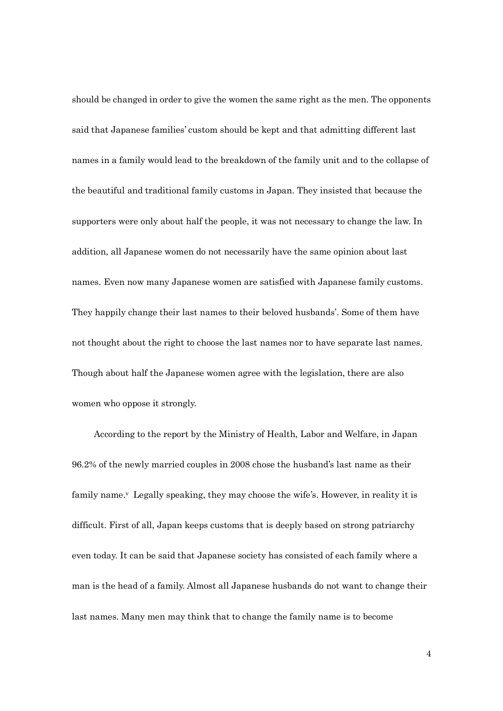should be changed in order to give the women the same right as the men. The opponents said that Japanese families' custom should be kept and that admitting different last names in a family would lead to the breakdown of the family unit and to the collapse of the beautiful and traditional family customs in Japan. They insisted that because the supporters were only about half the people, it was not necessary to change the law. In addition, all Japanese women do not necessarily have the same opinion about last names. Even now many Japanese women are satisfied with Japanese family customs. They happily change their last names to their beloved husbands'. Some of them have not thought about the right to choose the last names nor to have separate last names. Though about half the Japanese women agree with the legislation, there are also women who oppose it strongly.

According to the report by the Ministry of Health, Labor and Welfare, in Japan 96.2% of the newly married couples in 2008 chose the husband's last name as their family name.<sup>v</sup> Legally speaking, they may choose the wife's. However, in reality it is difficult. First of all, Japan keeps customs that is deeply based on strong patriarchy even today. It can be said that Japanese society has consisted of each family where a man is the head of a family. Almost all Japanese husbands do not want to change their last names. Many men may think that to change the family name is to become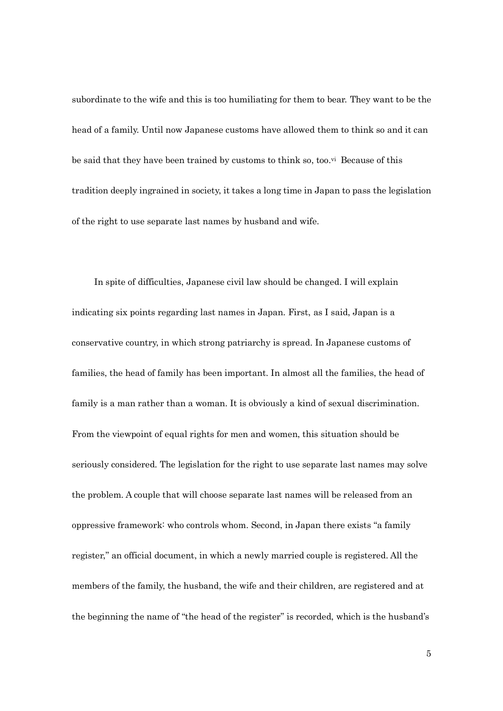subordinate to the wife and this is too humiliating for them to bear. They want to be the head of a family. Until now Japanese customs have allowed them to think so and it can be said that they have been trained by customs to think so, too.<sup>yi</sup> Because of this tradition deeply ingrained in society, it takes a long time in Japan to pass the legislation of the right to use separate last names by husband and wife.

 In spite of difficulties, Japanese civil law should be changed. I will explain indicating six points regarding last names in Japan. First, as I said, Japan is a conservative country, in which strong patriarchy is spread. In Japanese customs of families, the head of family has been important. In almost all the families, the head of family is a man rather than a woman. It is obviously a kind of sexual discrimination. From the viewpoint of equal rights for men and women, this situation should be seriously considered. The legislation for the right to use separate last names may solve the problem. A couple that will choose separate last names will be released from an oppressive framework: who controls whom. Second, in Japan there exists "a family register," an official document, in which a newly married couple is registered. All the members of the family, the husband, the wife and their children, are registered and at the beginning the name of "the head of the register" is recorded, which is the husband's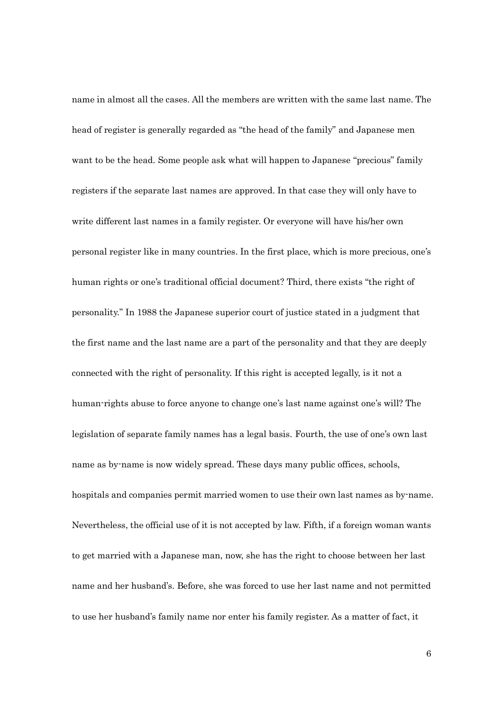name in almost all the cases. All the members are written with the same last name. The head of register is generally regarded as "the head of the family" and Japanese men want to be the head. Some people ask what will happen to Japanese "precious" family registers if the separate last names are approved. In that case they will only have to write different last names in a family register. Or everyone will have his/her own personal register like in many countries. In the first place, which is more precious, one's human rights or one's traditional official document? Third, there exists "the right of personality." In 1988 the Japanese superior court of justice stated in a judgment that the first name and the last name are a part of the personality and that they are deeply connected with the right of personality. If this right is accepted legally, is it not a human-rights abuse to force anyone to change one's last name against one's will? The legislation of separate family names has a legal basis. Fourth, the use of one's own last name as by-name is now widely spread. These days many public offices, schools, hospitals and companies permit married women to use their own last names as by-name. Nevertheless, the official use of it is not accepted by law. Fifth, if a foreign woman wants to get married with a Japanese man, now, she has the right to choose between her last name and her husband's. Before, she was forced to use her last name and not permitted to use her husband's family name nor enter his family register. As a matter of fact, it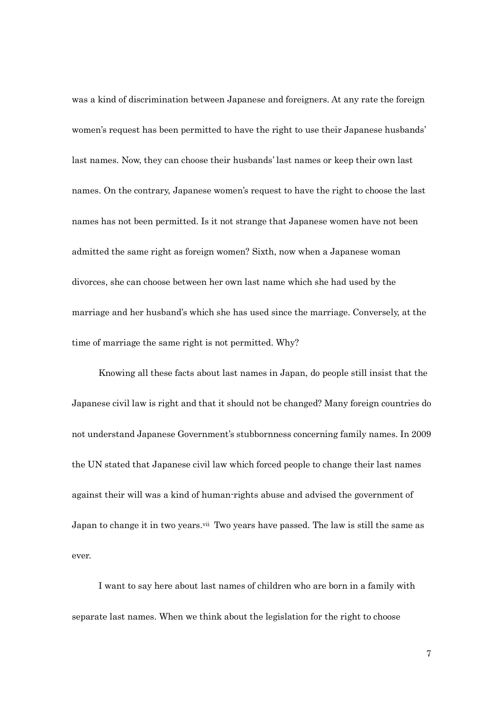was a kind of discrimination between Japanese and foreigners. At any rate the foreign women's request has been permitted to have the right to use their Japanese husbands' last names. Now, they can choose their husbands' last names or keep their own last names. On the contrary, Japanese women's request to have the right to choose the last names has not been permitted. Is it not strange that Japanese women have not been admitted the same right as foreign women? Sixth, now when a Japanese woman divorces, she can choose between her own last name which she had used by the marriage and her husband's which she has used since the marriage. Conversely, at the time of marriage the same right is not permitted. Why?

Knowing all these facts about last names in Japan, do people still insist that the Japanese civil law is right and that it should not be changed? Many foreign countries do not understand Japanese Government's stubbornness concerning family names. In 2009 the UN stated that Japanese civil law which forced people to change their last names against their will was a kind of human-rights abuse and advised the government of Japan to change it in two years.<sup>vii</sup> Two years have passed. The law is still the same as ever.

I want to say here about last names of children who are born in a family with separate last names. When we think about the legislation for the right to choose

7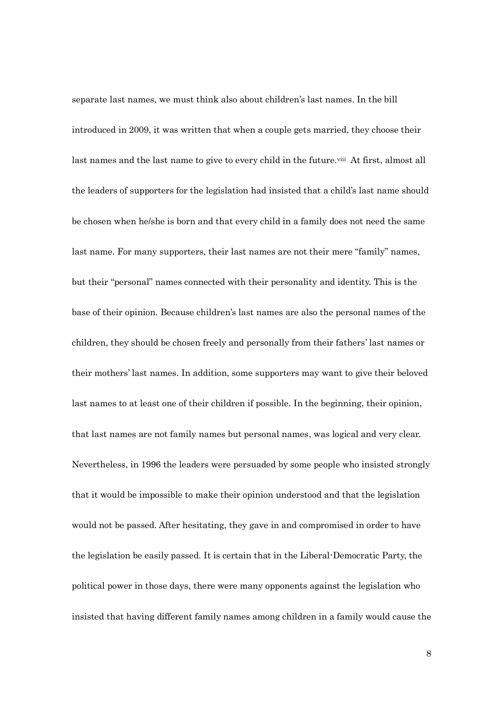separate last names, we must think also about children's last names. In the bill introduced in 2009, it was written that when a couple gets married, they choose their last names and the last name to give to every child in the future.<sup>viii</sup> At first, almost all the leaders of supporters for the legislation had insisted that a child's last name should be chosen when he/she is born and that every child in a family does not need the same last name. For many supporters, their last names are not their mere "family" names, but their "personal" names connected with their personality and identity. This is the base of their opinion. Because children's last names are also the personal names of the children, they should be chosen freely and personally from their fathers' last names or their mothers' last names. In addition, some supporters may want to give their beloved last names to at least one of their children if possible. In the beginning, their opinion, that last names are not family names but personal names, was logical and very clear. Nevertheless, in 1996 the leaders were persuaded by some people who insisted strongly that it would be impossible to make their opinion understood and that the legislation would not be passed. After hesitating, they gave in and compromised in order to have the legislation be easily passed. It is certain that in the Liberal-Democratic Party, the political power in those days, there were many opponents against the legislation who insisted that having different family names among children in a family would cause the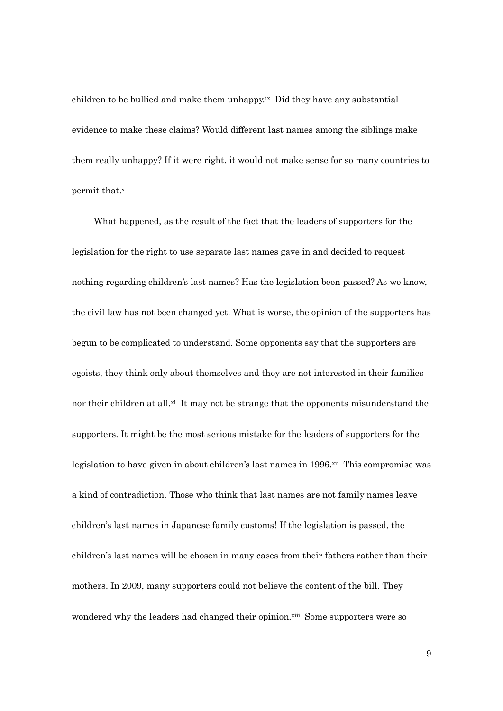children to be bullied and make them unhappy.ix Did they have any substantial evidence to make these claims? Would different last names among the siblings make them really unhappy? If it were right, it would not make sense for so many countries to permit that.<sup>x</sup>

What happened, as the result of the fact that the leaders of supporters for the legislation for the right to use separate last names gave in and decided to request nothing regarding children's last names? Has the legislation been passed? As we know, the civil law has not been changed yet. What is worse, the opinion of the supporters has begun to be complicated to understand. Some opponents say that the supporters are egoists, they think only about themselves and they are not interested in their families nor their children at all.<sup>xi</sup> It may not be strange that the opponents misunderstand the supporters. It might be the most serious mistake for the leaders of supporters for the legislation to have given in about children's last names in 1996.xii This compromise was a kind of contradiction. Those who think that last names are not family names leave children's last names in Japanese family customs! If the legislation is passed, the children's last names will be chosen in many cases from their fathers rather than their mothers. In 2009, many supporters could not believe the content of the bill. They wondered why the leaders had changed their opinion.xiii Some supporters were so

9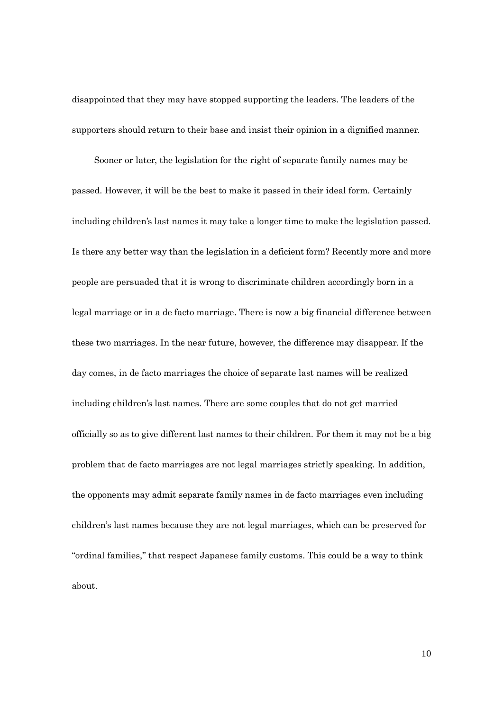disappointed that they may have stopped supporting the leaders. The leaders of the supporters should return to their base and insist their opinion in a dignified manner.

 Sooner or later, the legislation for the right of separate family names may be passed. However, it will be the best to make it passed in their ideal form. Certainly including children's last names it may take a longer time to make the legislation passed. Is there any better way than the legislation in a deficient form? Recently more and more people are persuaded that it is wrong to discriminate children accordingly born in a legal marriage or in a de facto marriage. There is now a big financial difference between these two marriages. In the near future, however, the difference may disappear. If the day comes, in de facto marriages the choice of separate last names will be realized including children's last names. There are some couples that do not get married officially so as to give different last names to their children. For them it may not be a big problem that de facto marriages are not legal marriages strictly speaking. In addition, the opponents may admit separate family names in de facto marriages even including children's last names because they are not legal marriages, which can be preserved for "ordinal families," that respect Japanese family customs. This could be a way to think about.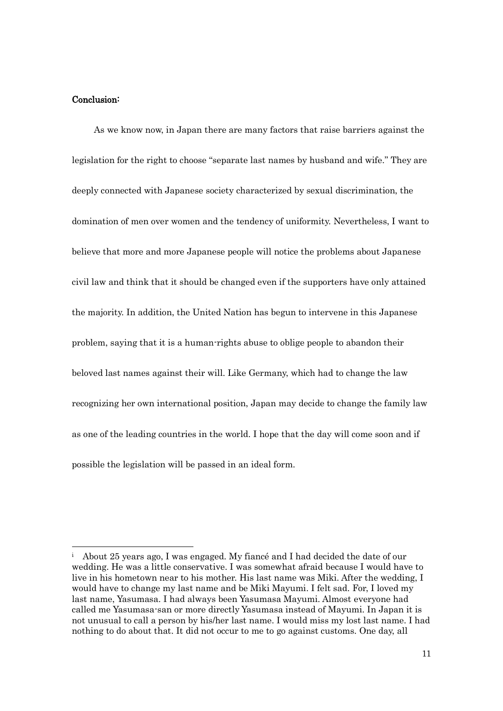# Conclusion:

 $\overline{a}$ 

As we know now, in Japan there are many factors that raise barriers against the legislation for the right to choose "separate last names by husband and wife." They are deeply connected with Japanese society characterized by sexual discrimination, the domination of men over women and the tendency of uniformity. Nevertheless, I want to believe that more and more Japanese people will notice the problems about Japanese civil law and think that it should be changed even if the supporters have only attained the majority. In addition, the United Nation has begun to intervene in this Japanese problem, saying that it is a human-rights abuse to oblige people to abandon their beloved last names against their will. Like Germany, which had to change the law recognizing her own international position, Japan may decide to change the family law as one of the leading countries in the world. I hope that the day will come soon and if possible the legislation will be passed in an ideal form.

<sup>&</sup>lt;sup>i</sup> About 25 years ago, I was engaged. My fiance and I had decided the date of our wedding. He was a little conservative. I was somewhat afraid because I would have to live in his hometown near to his mother. His last name was Miki. After the wedding, I would have to change my last name and be Miki Mayumi. I felt sad. For, I loved my last name, Yasumasa. I had always been Yasumasa Mayumi. Almost everyone had called me Yasumasa-san or more directly Yasumasa instead of Mayumi. In Japan it is not unusual to call a person by his/her last name. I would miss my lost last name. I had nothing to do about that. It did not occur to me to go against customs. One day, all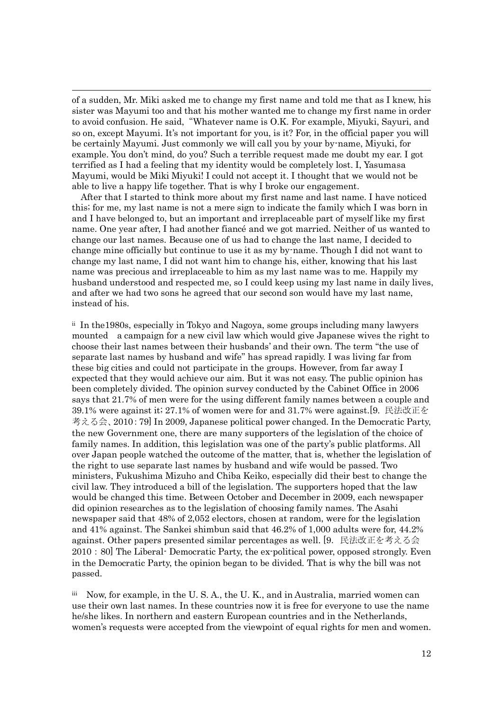of a sudden, Mr. Miki asked me to change my first name and told me that as I knew, his sister was Mayumi too and that his mother wanted me to change my first name in order to avoid confusion. He said,"Whatever name is O.K. For example, Miyuki, Sayuri, and so on, except Mayumi. It's not important for you, is it? For, in the official paper you will be certainly Mayumi. Just commonly we will call you by your by-name, Miyuki, for example. You don't mind, do you? Such a terrible request made me doubt my ear. I got terrified as I had a feeling that my identity would be completely lost. I, Yasumasa Mayumi, would be Miki Miyuki! I could not accept it. I thought that we would not be able to live a happy life together. That is why I broke our engagement.

 $\overline{a}$ 

After that I started to think more about my first name and last name. I have noticed this; for me, my last name is not a mere sign to indicate the family which I was born in and I have belonged to, but an important and irreplaceable part of myself like my first name. One year after, I had another fiancé and we got married. Neither of us wanted to change our last names. Because one of us had to change the last name, I decided to change mine officially but continue to use it as my by-name. Though I did not want to change my last name, I did not want him to change his, either, knowing that his last name was precious and irreplaceable to him as my last name was to me. Happily my husband understood and respected me, so I could keep using my last name in daily lives, and after we had two sons he agreed that our second son would have my last name, instead of his.

ii In the1980s, especially in Tokyo and Nagoya, some groups including many lawyers mounted a campaign for a new civil law which would give Japanese wives the right to choose their last names between their husbands' and their own. The term "the use of separate last names by husband and wife" has spread rapidly. I was living far from these big cities and could not participate in the groups. However, from far away I expected that they would achieve our aim. But it was not easy. The public opinion has been completely divided. The opinion survey conducted by the Cabinet Office in 2006 says that 21.7% of men were for the using different family names between a couple and 39.1% were against it; 27.1% of women were for and 31.7% were against.[9. 民法改正を 考える会、2010:79] In 2009, Japanese political power changed. In the Democratic Party, the new Government one, there are many supporters of the legislation of the choice of family names. In addition, this legislation was one of the party's public platforms. All over Japan people watched the outcome of the matter, that is, whether the legislation of the right to use separate last names by husband and wife would be passed. Two ministers, Fukushima Mizuho and Chiba Keiko, especially did their best to change the civil law. They introduced a bill of the legislation. The supporters hoped that the law would be changed this time. Between October and December in 2009, each newspaper did opinion researches as to the legislation of choosing family names. The Asahi newspaper said that 48% of 2,052 electors, chosen at random, were for the legislation and 41% against. The Sankei shimbun said that 46.2% of 1,000 adults were for, 44.2% against. Other papers presented similar percentages as well. [9. 民法改正を考える会 2010:80] The Liberal- Democratic Party, the ex-political power, opposed strongly. Even in the Democratic Party, the opinion began to be divided. That is why the bill was not passed.

iii Now, for example, in the U. S. A., the U. K., and in Australia, married women can use their own last names. In these countries now it is free for everyone to use the name he/she likes. In northern and eastern European countries and in the Netherlands, women's requests were accepted from the viewpoint of equal rights for men and women.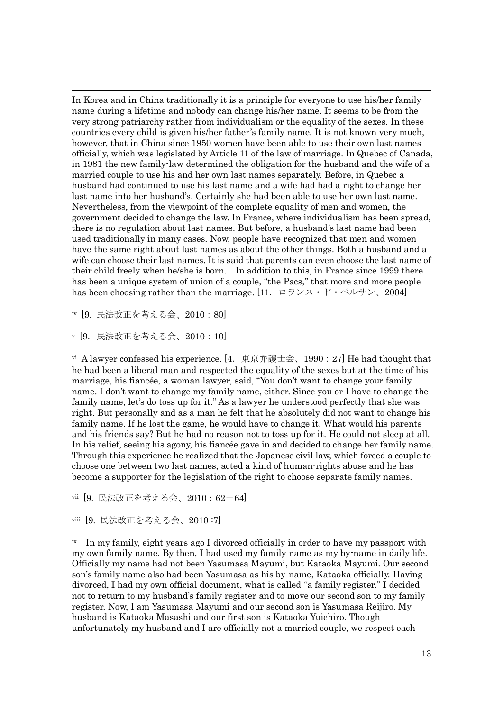In Korea and in China traditionally it is a principle for everyone to use his/her family name during a lifetime and nobody can change his/her name. It seems to be from the very strong patriarchy rather from individualism or the equality of the sexes. In these countries every child is given his/her father's family name. It is not known very much, however, that in China since 1950 women have been able to use their own last names officially, which was legislated by Article 11 of the law of marriage. In Quebec of Canada, in 1981 the new family-law determined the obligation for the husband and the wife of a married couple to use his and her own last names separately. Before, in Quebec a husband had continued to use his last name and a wife had had a right to change her last name into her husband's. Certainly she had been able to use her own last name. Nevertheless, from the viewpoint of the complete equality of men and women, the government decided to change the law. In France, where individualism has been spread, there is no regulation about last names. But before, a husband's last name had been used traditionally in many cases. Now, people have recognized that men and women have the same right about last names as about the other things. Both a husband and a wife can choose their last names. It is said that parents can even choose the last name of their child freely when he/she is born. In addition to this, in France since 1999 there has been a unique system of union of a couple, "the Pacs," that more and more people has been choosing rather than the marriage. [11. ロランス・ド・ペルサン、2004]

iv [9. 民法改正を考える会、2010:80]

 $\overline{a}$ 

<sup>v</sup> [9.民法改正を考える会、2010:10]

vi A lawyer confessed his experience. [4. 東京弁護士会、1990: 27] He had thought that he had been a liberal man and respected the equality of the sexes but at the time of his marriage, his fiancée, a woman lawyer, said, "You don't want to change your family name. I don't want to change my family name, either. Since you or I have to change the family name, let's do toss up for it." As a lawyer he understood perfectly that she was right. But personally and as a man he felt that he absolutely did not want to change his family name. If he lost the game, he would have to change it. What would his parents and his friends say? But he had no reason not to toss up for it. He could not sleep at all. In his relief, seeing his agony, his fiancée gave in and decided to change her family name. Through this experience he realized that the Japanese civil law, which forced a couple to choose one between two last names, acted a kind of human-rights abuse and he has become a supporter for the legislation of the right to choose separate family names.

vii [9. 民法改正を考える会、2010:62-64]

viii [9. 民法改正を考える会、2010 :7]

ix In my family, eight years ago I divorced officially in order to have my passport with my own family name. By then, I had used my family name as my by-name in daily life. Officially my name had not been Yasumasa Mayumi, but Kataoka Mayumi. Our second son's family name also had been Yasumasa as his by-name, Kataoka officially. Having divorced, I had my own official document, what is called "a family register." I decided not to return to my husband's family register and to move our second son to my family register. Now, I am Yasumasa Mayumi and our second son is Yasumasa Reijiro. My husband is Kataoka Masashi and our first son is Kataoka Yuichiro. Though unfortunately my husband and I are officially not a married couple, we respect each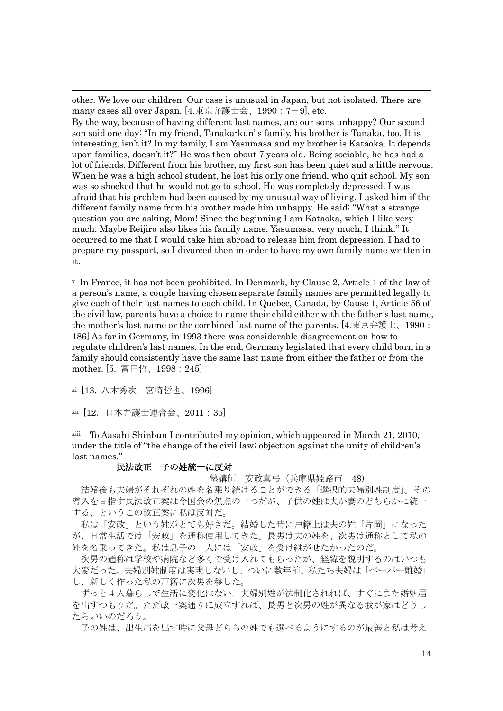other. We love our children. Our case is unusual in Japan, but not isolated. There are many cases all over Japan. [4.東京弁護士会、1990:7-9], etc.

By the way, because of having different last names, are our sons unhappy? Our second son said one day: "In my friend, Tanaka-kun' s family, his brother is Tanaka, too. It is interesting, isn't it? In my family, I am Yasumasa and my brother is Kataoka. It depends upon families, doesn't it?" He was then about 7 years old. Being sociable, he has had a lot of friends. Different from his brother, my first son has been quiet and a little nervous. When he was a high school student, he lost his only one friend, who quit school. My son was so shocked that he would not go to school. He was completely depressed. I was afraid that his problem had been caused by my unusual way of living. I asked him if the different family name from his brother made him unhappy. He said; "What a strange question you are asking, Mom! Since the beginning I am Kataoka, which I like very much. Maybe Reijiro also likes his family name, Yasumasa, very much, I think." It occurred to me that I would take him abroad to release him from depression. I had to prepare my passport, so I divorced then in order to have my own family name written in it.

<sup>x</sup> In France, it has not been prohibited. In Denmark, by Clause 2, Article 1 of the law of a person's name, a couple having chosen separate family names are permitted legally to give each of their last names to each child. In Quebec, Canada, by Cause 1, Article 56 of the civil law, parents have a choice to name their child either with the father's last name, the mother's last name or the combined last name of the parents. [4.東京弁護士、1990: 186] As for in Germany, in 1993 there was considerable disagreement on how to regulate children's last names. In the end, Germany legislated that every child born in a family should consistently have the same last name from either the father or from the mother. [5. 富田哲、1998:245]

xi [13. 八木秀次 宮崎哲也、1996]

 $\overline{a}$ 

xii [12.日本弁護士連合会、2011:35]

xiii To Aasahi Shinbun I contributed my opinion, which appeared in March 21, 2010, under the title of "the change of the civil law; objection against the unity of children's last names."

### 民法改正 子の姓統一に反対

塾講師 安政真弓(兵庫県姫路市 48)

結婚後も夫婦がそれぞれの姓を名乗り続けることができる「選択的夫婦別姓制度」。その 導入を目指す民法改正案は今国会の焦点の一つだが、子供の姓は夫か妻のどちらかに統-する、というこの改正案に私は反対だ。

私は「安政」という姓がとても好きだ。結婚した時に戸籍上は夫の姓「片岡」になった が、日常生活では「安政」を通称使用してきた。長男は夫の姓を、次男は通称として私の 姓を名乗ってきた。私は息子の一人には「安政」を受け継がせたかったのだ。

次男の通称は学校や病院など多くで受け入れてもらったが、経緯を説明するのはいつも 大変だった。夫婦別姓制度は実現しないし、ついに数年前、私たち夫婦は「ペーパー離婚」 し、新しく作った私の戸籍に次男を移した。

ずっと4人暮らしで生活に変化はない。夫婦別姓が法制化されれば、すぐにまた婚姻届 を出すつもりだ。ただ改正案通りに成立すれば、長男と次男の姓が異なる我が家はどうし たらいいのだろう。

子の姓は、出生届を出す時に父母どちらの姓でも選べるようにするのが最善と私は考え